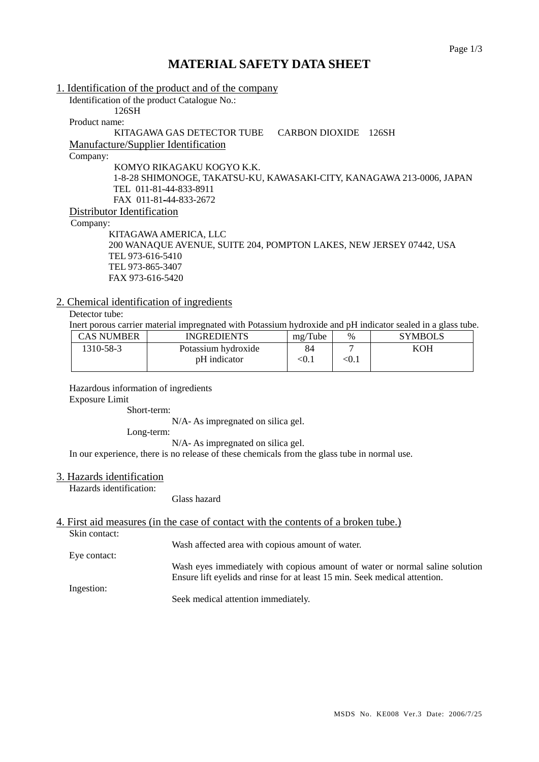# **MATERIAL SAFETY DATA SHEET**

| 1. Identification of the product and of the company                   |
|-----------------------------------------------------------------------|
| Identification of the product Catalogue No.:                          |
| 126SH                                                                 |
| Product name:                                                         |
| KITAGAWA GAS DETECTOR TUBE<br>CARBON DIOXIDE<br>126SH                 |
| <b>Manufacture/Supplier Identification</b>                            |
| Company:                                                              |
| KOMYO RIKAGAKU KOGYO K.K.                                             |
| 1-8-28 SHIMONOGE, TAKATSU-KU, KAWASAKI-CITY, KANAGAWA 213-0006, JAPAN |
| TEL 011-81-44-833-8911                                                |
| FAX 011-81-44-833-2672                                                |
| Distributor Identification                                            |
| Company:                                                              |
| KITAGAWA AMERICA, LLC                                                 |
| 200 WANAQUE AVENUE, SUITE 204, POMPTON LAKES, NEW JERSEY 07442, USA   |
| TEL 973-616-5410                                                      |
| TEL 973-865-3407                                                      |
| FAX 973-616-5420                                                      |

## 2. Chemical identification of ingredients

Detector tube:

Inert porous carrier material impregnated with Potassium hydroxide and pH indicator sealed in a glass tube.

| CAS NUMBER | <b>INGREDIENTS</b>  | mg/Tube | $\%$  | <b>SYMBOLS</b> |
|------------|---------------------|---------|-------|----------------|
| 1310-58-3  | Potassium hydroxide | 84      |       | KOH            |
|            | pH indicator        | < 0.1   | < 0.1 |                |

Hazardous information of ingredients Exposure Limit

Short-term:

N/A- As impregnated on silica gel.

Long-term:

N/A- As impregnated on silica gel.

In our experience, there is no release of these chemicals from the glass tube in normal use.

## 3. Hazards identification

Hazards identification:

Glass hazard

## 4. First aid measures (in the case of contact with the contents of a broken tube.)

Skin contact:

Wash affected area with copious amount of water.

Eye contact:

Wash eyes immediately with copious amount of water or normal saline solution Ensure lift eyelids and rinse for at least 15 min. Seek medical attention.

Ingestion:

Seek medical attention immediately.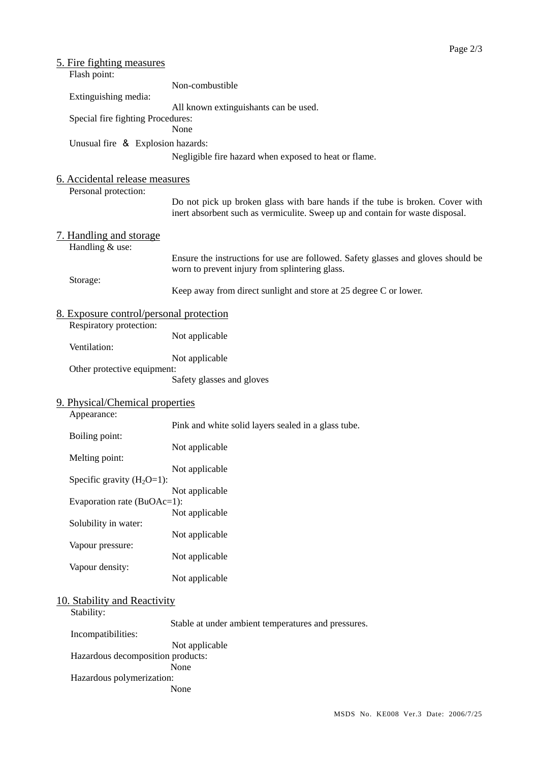| 5. Fire fighting measures                                                  |                                                                                                                                                                |  |  |  |  |  |
|----------------------------------------------------------------------------|----------------------------------------------------------------------------------------------------------------------------------------------------------------|--|--|--|--|--|
| Flash point:                                                               |                                                                                                                                                                |  |  |  |  |  |
|                                                                            | Non-combustible                                                                                                                                                |  |  |  |  |  |
| Extinguishing media:                                                       |                                                                                                                                                                |  |  |  |  |  |
| All known extinguishants can be used.<br>Special fire fighting Procedures: |                                                                                                                                                                |  |  |  |  |  |
| None                                                                       |                                                                                                                                                                |  |  |  |  |  |
| Unusual fire & Explosion hazards:                                          |                                                                                                                                                                |  |  |  |  |  |
|                                                                            | Negligible fire hazard when exposed to heat or flame.                                                                                                          |  |  |  |  |  |
|                                                                            |                                                                                                                                                                |  |  |  |  |  |
| 6. Accidental release measures                                             |                                                                                                                                                                |  |  |  |  |  |
| Personal protection:                                                       |                                                                                                                                                                |  |  |  |  |  |
|                                                                            | Do not pick up broken glass with bare hands if the tube is broken. Cover with<br>inert absorbent such as vermiculite. Sweep up and contain for waste disposal. |  |  |  |  |  |
| 7. Handling and storage                                                    |                                                                                                                                                                |  |  |  |  |  |
| Handling & use:                                                            |                                                                                                                                                                |  |  |  |  |  |
|                                                                            | Ensure the instructions for use are followed. Safety glasses and gloves should be                                                                              |  |  |  |  |  |
|                                                                            | worn to prevent injury from splintering glass.                                                                                                                 |  |  |  |  |  |
| Storage:                                                                   |                                                                                                                                                                |  |  |  |  |  |
|                                                                            | Keep away from direct sunlight and store at 25 degree C or lower.                                                                                              |  |  |  |  |  |
|                                                                            |                                                                                                                                                                |  |  |  |  |  |
| <u>8. Exposure control/personal protection</u><br>Respiratory protection:  |                                                                                                                                                                |  |  |  |  |  |
|                                                                            | Not applicable                                                                                                                                                 |  |  |  |  |  |
| Ventilation:                                                               |                                                                                                                                                                |  |  |  |  |  |
|                                                                            | Not applicable                                                                                                                                                 |  |  |  |  |  |
| Other protective equipment:                                                |                                                                                                                                                                |  |  |  |  |  |
|                                                                            | Safety glasses and gloves                                                                                                                                      |  |  |  |  |  |
| 9. Physical/Chemical properties                                            |                                                                                                                                                                |  |  |  |  |  |
| Appearance:                                                                |                                                                                                                                                                |  |  |  |  |  |
|                                                                            | Pink and white solid layers sealed in a glass tube.                                                                                                            |  |  |  |  |  |
| Boiling point:                                                             |                                                                                                                                                                |  |  |  |  |  |
|                                                                            | Not applicable                                                                                                                                                 |  |  |  |  |  |
| Melting point:                                                             |                                                                                                                                                                |  |  |  |  |  |
| Specific gravity $(H_2O=1)$ :                                              | Not applicable                                                                                                                                                 |  |  |  |  |  |
|                                                                            | Not applicable                                                                                                                                                 |  |  |  |  |  |
| Evaporation rate (BuOAc=1):                                                |                                                                                                                                                                |  |  |  |  |  |
|                                                                            | Not applicable                                                                                                                                                 |  |  |  |  |  |
| Solubility in water:                                                       |                                                                                                                                                                |  |  |  |  |  |
|                                                                            | Not applicable                                                                                                                                                 |  |  |  |  |  |
| Vapour pressure:                                                           |                                                                                                                                                                |  |  |  |  |  |
| Vapour density:                                                            | Not applicable                                                                                                                                                 |  |  |  |  |  |
|                                                                            | Not applicable                                                                                                                                                 |  |  |  |  |  |
|                                                                            |                                                                                                                                                                |  |  |  |  |  |
| 10. Stability and Reactivity                                               |                                                                                                                                                                |  |  |  |  |  |
| Stability:                                                                 |                                                                                                                                                                |  |  |  |  |  |
|                                                                            | Stable at under ambient temperatures and pressures.                                                                                                            |  |  |  |  |  |
| Incompatibilities:                                                         |                                                                                                                                                                |  |  |  |  |  |
| Hazardous decomposition products:                                          | Not applicable                                                                                                                                                 |  |  |  |  |  |
|                                                                            | None                                                                                                                                                           |  |  |  |  |  |
| Hazardous polymerization:                                                  |                                                                                                                                                                |  |  |  |  |  |
|                                                                            | None                                                                                                                                                           |  |  |  |  |  |